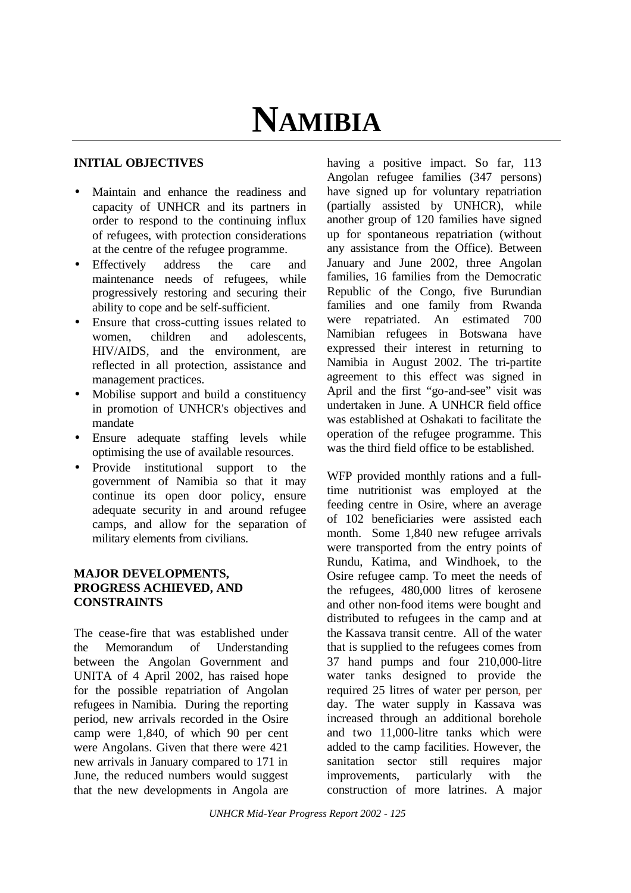# **NAMIBIA**

## **INITIAL OBJECTIVES**

- Maintain and enhance the readiness and capacity of UNHCR and its partners in order to respond to the continuing influx of refugees, with protection considerations at the centre of the refugee programme.
- Effectively address the care and maintenance needs of refugees, while progressively restoring and securing their ability to cope and be self-sufficient.
- Ensure that cross-cutting issues related to women, children and adolescents, HIV/AIDS, and the environment, are reflected in all protection, assistance and management practices.
- Mobilise support and build a constituency in promotion of UNHCR's objectives and mandate
- Ensure adequate staffing levels while optimising the use of available resources.
- Provide institutional support to the government of Namibia so that it may continue its open door policy, ensure adequate security in and around refugee camps, and allow for the separation of military elements from civilians.

## **MAJOR DEVELOPMENTS, PROGRESS ACHIEVED, AND CONSTRAINTS**

The cease-fire that was established under the Memorandum of Understanding between the Angolan Government and UNITA of 4 April 2002, has raised hope for the possible repatriation of Angolan refugees in Namibia.During the reporting period, new arrivals recorded in the Osire camp were 1,840, of which 90 per cent were Angolans. Given that there were 421 new arrivals in January compared to 171 in June, the reduced numbers would suggest that the new developments in Angola are

having a positive impact. So far, 113 Angolan refugee families (347 persons) have signed up for voluntary repatriation (partially assisted by UNHCR), while another group of 120 families have signed up for spontaneous repatriation (without any assistance from the Office). Between January and June 2002, three Angolan families, 16 families from the Democratic Republic of the Congo, five Burundian families and one family from Rwanda were repatriated. An estimated 700 Namibian refugees in Botswana have expressed their interest in returning to Namibia in August 2002. The tri-partite agreement to this effect was signed in April and the first "go-and-see" visit was undertaken in June. A UNHCR field office was established at Oshakati to facilitate the operation of the refugee programme. This was the third field office to be established.

WFP provided monthly rations and a fulltime nutritionist was employed at the feeding centre in Osire, where an average of 102 beneficiaries were assisted each month.Some 1,840 new refugee arrivals were transported from the entry points of Rundu, Katima, and Windhoek, to the Osire refugee camp. To meet the needs of the refugees, 480,000 litres of kerosene and other non-food items were bought and distributed to refugees in the camp and at the Kassava transit centre. All of the water that is supplied to the refugees comes from 37 hand pumps and four 210,000-litre water tanks designed to provide the required 25 litres of water per person, per day. The water supply in Kassava was increased through an additional borehole and two 11,000-litre tanks which were added to the camp facilities. However, the sanitation sector still requires major improvements, particularly with the construction of more latrines. A major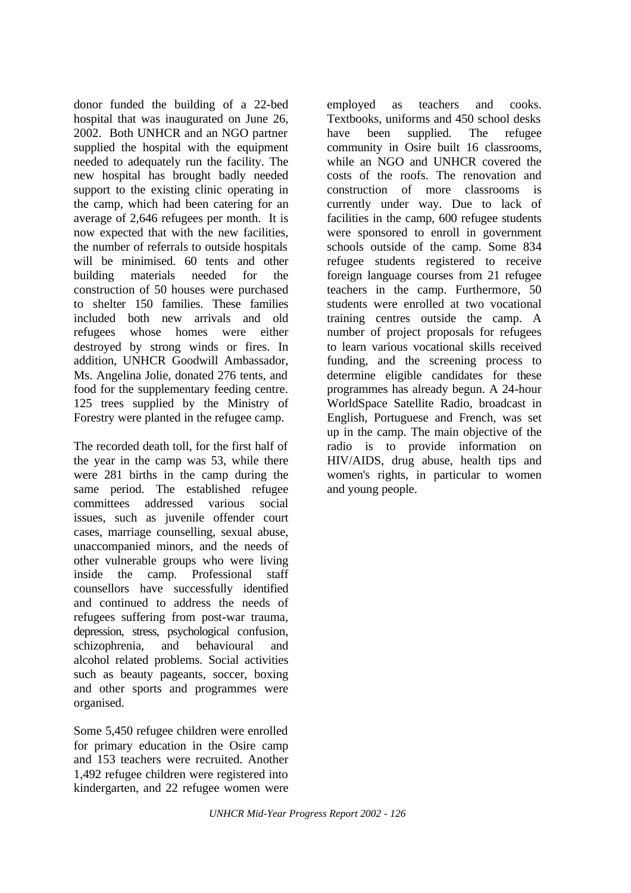donor funded the building of a 22-bed hospital that was inaugurated on June 26, 2002. Both UNHCR and an NGO partner supplied the hospital with the equipment needed to adequately run the facility. The new hospital has brought badly needed support to the existing clinic operating in the camp, which had been catering for an average of 2,646 refugees per month. It is now expected that with the new facilities, the number of referrals to outside hospitals will be minimised. 60 tents and other building materials needed for the construction of 50 houses were purchased to shelter 150 families. These families included both new arrivals and old refugees whose homes were either destroyed by strong winds or fires. In addition, UNHCR Goodwill Ambassador, Ms. Angelina Jolie, donated 276 tents, and food for the supplementary feeding centre. 125 trees supplied by the Ministry of Forestry were planted in the refugee camp.

The recorded death toll, for the first half of the year in the camp was 53, while there were 281 births in the camp during the same period. The established refugee committees addressed various social issues, such as juvenile offender court cases, marriage counselling, sexual abuse, unaccompanied minors, and the needs of other vulnerable groups who were living inside the camp. Professional staff counsellors have successfully identified and continued to address the needs of refugees suffering from post-war trauma, depression, stress, psychological confusion, schizophrenia, and behavioural and alcohol related problems. Social activities such as beauty pageants, soccer, boxing and other sports and programmes were organised.

Some 5,450 refugee children were enrolled for primary education in the Osire camp and 153 teachers were recruited. Another 1,492 refugee children were registered into kindergarten, and 22 refugee women were

employed as teachers and cooks. Textbooks, uniforms and 450 school desks have been supplied. The refugee community in Osire built 16 classrooms, while an NGO and UNHCR covered the costs of the roofs. The renovation and construction of more classrooms is currently under way. Due to lack of facilities in the camp, 600 refugee students were sponsored to enroll in government schools outside of the camp. Some 834 refugee students registered to receive foreign language courses from 21 refugee teachers in the camp. Furthermore, 50 students were enrolled at two vocational training centres outside the camp. A number of project proposals for refugees to learn various vocational skills received funding, and the screening process to determine eligible candidates for these programmes has already begun. A 24-hour WorldSpace Satellite Radio, broadcast in English, Portuguese and French, was set up in the camp. The main objective of the radio is to provide information on HIV/AIDS, drug abuse, health tips and women's rights, in particular to women and young people.